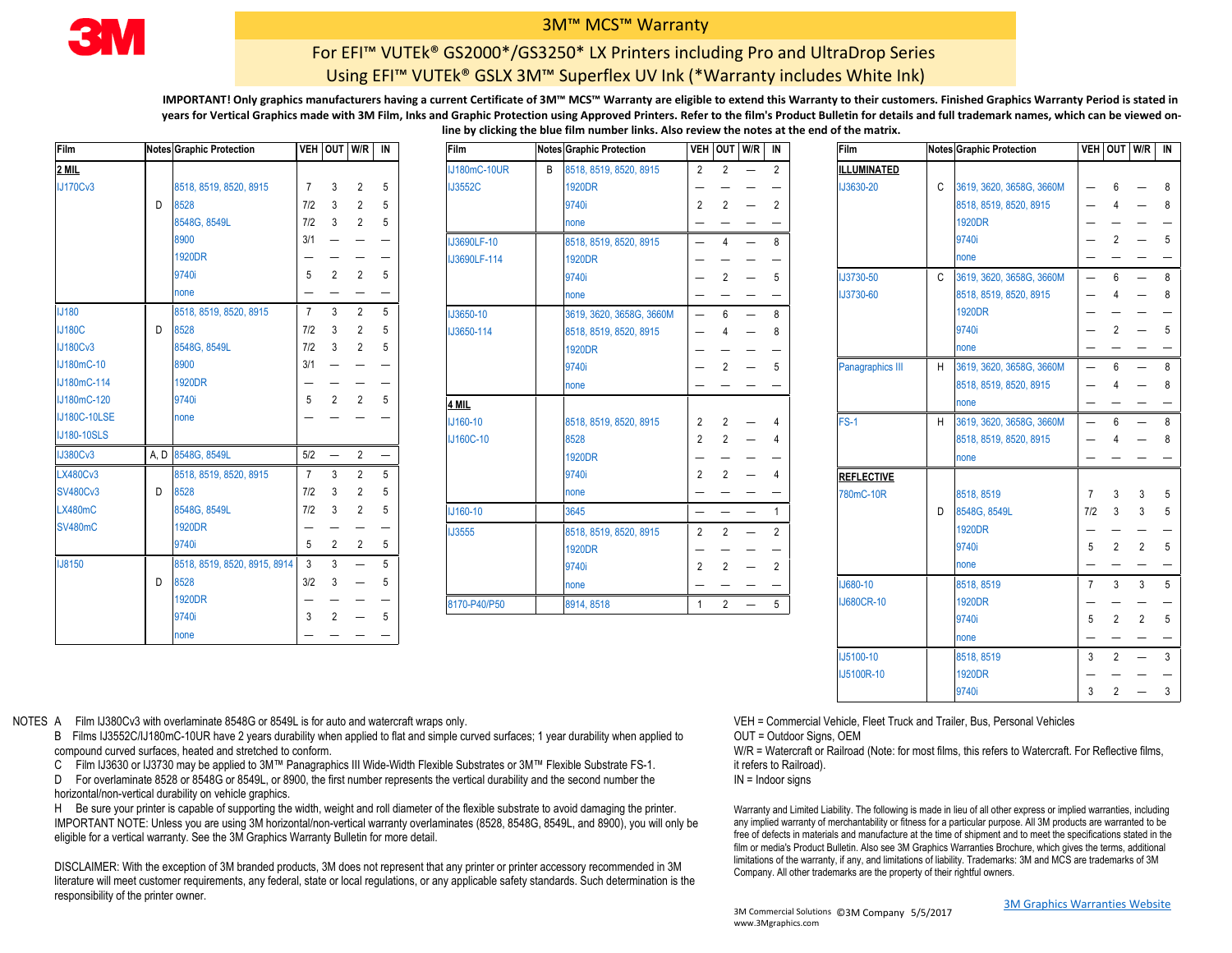

## 3M™ MCS™ Warranty

## For EFI™ VUTEk® GS2000\*/GS3250\* LX Printers including Pro and UltraDrop Series Using EFI™ VUTEk® GSLX 3M™ Superflex UV Ink (\*Warranty includes White Ink)

**IMPORTANT! Only graphics manufacturers having a current Certificate of 3M™ MCS™ Warranty are eligible to extend this Warranty to their customers. Finished Graphics Warranty Period is stated in years for Vertical Graphics made with 3M Film, Inks and Graphic Protection using Approved Printers. Refer to the film's Product Bulletin for details and full trademark names, which can be viewed online by clicking the blue film number links. Also review the notes at the end of the matrix.**

| Film                |      | <b>Notes Graphic Protection</b> |                | VEH OUT W/R              |                          | IN |
|---------------------|------|---------------------------------|----------------|--------------------------|--------------------------|----|
| 2 MIL               |      |                                 |                |                          |                          |    |
| <b>IJ170Cv3</b>     |      | 8518, 8519, 8520, 8915          | $\overline{7}$ | 3                        | $\overline{2}$           | 5  |
|                     | D    | 8528                            | 7/2            | 3                        | $\overline{2}$           | 5  |
|                     |      | 8548G, 8549L                    | 7/2            | 3                        | $\overline{2}$           | 5  |
|                     |      | 8900                            | 3/1            | $\equiv$                 |                          |    |
|                     |      | <b>1920DR</b>                   |                |                          |                          |    |
|                     |      | 9740i                           | 5              | 2                        | $\overline{2}$           | 5  |
|                     |      | none                            |                |                          |                          | —  |
| <b>IJ180</b>        |      | 8518, 8519, 8520, 8915          | $\overline{7}$ | 3                        | 2                        | 5  |
| <b>IJ180C</b>       | D    | 8528                            | 7/2            | 3                        | $\overline{2}$           | 5  |
| <b>IJ180Cv3</b>     |      | 8548G, 8549L                    | 7/2            | 3                        | $\overline{2}$           | 5  |
| IJ180mC-10          |      | 8900                            | 3/1            |                          |                          |    |
| IJ180mC-114         |      | <b>1920DR</b>                   |                |                          |                          |    |
| IJ180mC-120         |      | 9740i                           | 5              | 2                        | 2                        | 5  |
| <b>IJ180C-10LSE</b> |      | none                            |                |                          |                          |    |
| <b>IJ180-10SLS</b>  |      |                                 |                |                          |                          |    |
| <b>IJ380Cv3</b>     | A, D | 8548G, 8549L                    | 5/2            | $\overline{\phantom{0}}$ | $\overline{2}$           |    |
| <b>LX480Cv3</b>     |      | 8518, 8519, 8520, 8915          | $\overline{7}$ | 3                        | $\overline{2}$           | 5  |
| <b>SV480Cv3</b>     | D    | 8528                            | 7/2            | 3                        | $\overline{2}$           | 5  |
| <b>LX480mC</b>      |      | 8548G, 8549L                    | 7/2            | 3                        | $\overline{2}$           | 5  |
| <b>SV480mC</b>      |      | <b>1920DR</b>                   |                |                          |                          |    |
|                     |      | 9740i                           | 5              | 2                        | $\overline{2}$           | 5  |
| <b>IJ8150</b>       |      | 8518, 8519, 8520, 8915, 8914    | 3              | 3                        |                          | 5  |
|                     | D    | 8528                            | 3/2            | 3                        | $\overline{\phantom{0}}$ | 5  |
|                     |      | <b>1920DR</b>                   |                |                          |                          |    |
|                     |      | 9740i                           | 3              | $\overline{2}$           |                          | 5  |
|                     |      | none                            |                |                          |                          |    |

| Film                |   | <b>Notes Graphic Protection</b> |                | VEH OUT W/R IN |                          |                 | Film                | <b>Notes Graphic Protection</b> |                |                | VEH OUT W/R IN           |                | <b>Film</b>       |              | Notes Graphic Protection   |     |                | VEH OUT W/R IN |    |
|---------------------|---|---------------------------------|----------------|----------------|--------------------------|-----------------|---------------------|---------------------------------|----------------|----------------|--------------------------|----------------|-------------------|--------------|----------------------------|-----|----------------|----------------|----|
| <u>2 MIL</u>        |   |                                 |                |                |                          |                 | <b>IJ180mC-10UR</b> | B 8518, 8519, 8520, 8915        | $\overline{2}$ | 2              |                          | 2              | ILLUMINATED       |              |                            |     |                |                |    |
| <b>IJ170Cv3</b>     |   | 8518, 8519, 8520, 8915          | $\overline{7}$ | -3             | $\mathfrak{p}$           | -5              | <b>IJ3552C</b>      | 1920DR                          |                |                |                          |                | <b>IJ3630-20</b>  |              | C 3619, 3620, 3658G, 3660M |     |                |                |    |
|                     | D | 8528                            | 7/2            | $\overline{3}$ | $\mathcal{P}$            | 5               |                     | 9740i                           | $\overline{2}$ |                |                          | 2              |                   |              | 8518, 8519, 8520, 8915     |     |                |                |    |
|                     |   | 8548G, 8549L                    | 7/2            | $\overline{3}$ | 2                        | $-5$            |                     | none                            |                |                |                          |                |                   |              | <b>1920DR</b>              |     |                |                |    |
|                     |   | 8900                            | 3/1            |                |                          | $\qquad \qquad$ | IJ3690LF-10         | 8518, 8519, 8520, 8915          | $-$            |                | $\overline{\phantom{0}}$ | 8              |                   |              | 9740i                      |     |                |                |    |
|                     |   | <b>1920DR</b>                   |                |                |                          |                 | IJ3690LF-114        | 1920DR                          |                |                |                          |                |                   |              | none                       |     |                |                |    |
|                     |   | 9740i                           | 5              |                |                          | 5               |                     | 9740i                           |                |                |                          | 5              | <b>IJ3730-50</b>  | $\mathbf{C}$ | 3619, 3620, 3658G, 3660M   |     |                |                |    |
|                     |   | none                            |                |                |                          |                 |                     | none                            |                |                |                          |                | <b>IJ3730-60</b>  |              | 8518, 8519, 8520, 8915     |     |                |                |    |
| <b>J180</b>         |   | 8518, 8519, 8520, 8915          |                | $7 \quad 3$    | 2                        | -5              | <b>IJ3650-10</b>    | 3619, 3620, 3658G, 3660M        | $-$            | 6              | $\overline{\phantom{0}}$ | 8              |                   |              | <b>1920DR</b>              |     |                |                |    |
| <b>IJ180C</b>       | D | 8528                            | 7/2            | -3             | 2                        | 5               | IJ3650-114          | 8518, 8519, 8520, 8915          |                |                |                          | 8              |                   |              | 9740i                      |     |                |                |    |
| <b>IJ180Cv3</b>     |   | 8548G, 8549L                    | 7/2            | $\mathbf{3}$   | 2                        | $\overline{5}$  |                     | 1920DR                          |                |                |                          |                |                   |              | none                       |     |                |                |    |
| IJ180mC-10          |   | 8900                            | 3/1            |                |                          |                 |                     | 9740i                           |                |                |                          | 5              | Panagraphics III  | H            | 3619, 3620, 3658G, 3660M   |     |                |                |    |
| IJ180mC-114         |   | <b>1920DR</b>                   |                |                |                          |                 |                     | none                            |                |                |                          |                |                   |              | 8518, 8519, 8520, 8915     |     |                |                |    |
| IJ180mC-120         |   | 9740i                           | 5              | 2              | 2                        | 5               | 4 MIL               |                                 |                |                |                          |                |                   |              | none                       |     |                |                |    |
| <b>IJ180C-10LSE</b> |   | none                            |                |                |                          |                 | IJ160-10            | 8518, 8519, 8520, 8915          | $\overline{2}$ | 2              |                          | 4              | $FS-1$            | H            | 3619, 3620, 3658G, 3660M   |     |                |                |    |
| <b>IJ180-10SLS</b>  |   |                                 |                |                |                          |                 | <b>IJ160C-10</b>    | 8528                            | 2              | 2              |                          |                |                   |              | 8518, 8519, 8520, 8915     |     |                |                |    |
| <b>IJ380Cv3</b>     |   | A, D 8548G, 8549L               |                | $5/2$ $-$      | $2 -$                    |                 |                     | <b>1920DR</b>                   |                |                |                          |                |                   |              | none                       |     |                |                |    |
| <b>LX480Cv3</b>     |   | 8518, 8519, 8520, 8915          |                | $7 \quad 3$    | 2                        | $\overline{5}$  |                     | 9740i                           | $\overline{2}$ | 2              | $\qquad \qquad -$        | $\overline{4}$ | <b>REFLECTIVE</b> |              |                            |     |                |                |    |
| <b>SV480Cv3</b>     | D | 8528                            | 7/2            | -3             | $\mathcal{P}$            | 5               |                     | none                            |                |                |                          |                | 780mC-10R         |              | 8518, 8519                 |     | 3              |                | .5 |
| LX480mC             |   | 8548G, 8549L                    | 7/2            | 3              | 2                        | 5               | IJ160-10            | 3645                            | —              |                | $\overline{\phantom{m}}$ |                |                   | D            | 8548G, 8549L               | 7/2 | 3              |                |    |
| <b>SV480mC</b>      |   | <b>1920DR</b>                   |                |                |                          |                 | <b>IJ3555</b>       | 8518, 8519, 8520, 8915          | 2              | 2              | $\overline{\phantom{0}}$ | 2              |                   |              | <b>1920DR</b>              |     |                |                |    |
|                     |   | 9740i                           | 5 <sup>5</sup> | $\overline{2}$ | 2                        | -5              |                     | 1920DR                          |                |                |                          |                |                   |              | 9740i                      |     | $\overline{2}$ | $\overline{2}$ | 5  |
| <b>IJ8150</b>       |   | 8518, 8519, 8520, 8915, 8914    |                | $3 \quad 3$    | $\overline{\phantom{m}}$ | $5^{\circ}$     |                     | 9740i                           | 2              | 2              |                          | 2              |                   |              | none                       |     |                |                |    |
|                     | D | 8528                            | 3/2            | 3              |                          | 5               |                     | none                            |                |                |                          |                | IJ680-10          |              | 8518, 8519                 |     | $\mathbf{3}$   | 3 <sub>5</sub> |    |
|                     |   | 1920DR                          |                |                |                          |                 | 8170-P40/P50        | 8914, 8518                      | 1              | $\overline{2}$ | $\overline{\phantom{a}}$ | 5              | <b>IJ680CR-10</b> |              | <b>1920DR</b>              |     |                |                |    |
|                     |   | <b>ONEO</b>                     |                | $\sim$ $\sim$  |                          |                 |                     |                                 |                |                |                          |                |                   |              |                            |     |                |                |    |

| Film              |   | Notes Graphic Protection |                          | VEH OUT W/R    |                | IN |
|-------------------|---|--------------------------|--------------------------|----------------|----------------|----|
| ILLUMINATED       |   |                          |                          |                |                |    |
| <b>IJ3630-20</b>  | C | 3619, 3620, 3658G, 3660M |                          | 6              |                | 8  |
|                   |   | 8518, 8519, 8520, 8915   |                          | 4              |                | 8  |
|                   |   | <b>1920DR</b>            |                          |                |                |    |
|                   |   | 9740i                    |                          | $\overline{2}$ |                | 5  |
|                   |   | none                     |                          |                |                |    |
| <b>IJ3730-50</b>  | C | 3619, 3620, 3658G, 3660M |                          | 6              |                | 8  |
| IJ3730-60         |   | 8518, 8519, 8520, 8915   |                          | 4              |                | 8  |
|                   |   | <b>1920DR</b>            |                          |                |                |    |
|                   |   | 9740i                    |                          | $\overline{2}$ |                | 5  |
|                   |   | none                     |                          |                |                |    |
| Panagraphics III  | H | 3619, 3620, 3658G, 3660M | $\overline{\phantom{0}}$ | 6              |                | 8  |
|                   |   | 8518, 8519, 8520, 8915   |                          | 4              |                | 8  |
|                   |   | none                     |                          |                |                |    |
| $FS-1$            | H | 3619, 3620, 3658G, 3660M |                          | 6              |                | 8  |
|                   |   | 8518, 8519, 8520, 8915   |                          | 4              |                | 8  |
|                   |   | none                     |                          |                |                |    |
| <b>REFLECTIVE</b> |   |                          |                          |                |                |    |
| 780mC-10R         |   | 8518, 8519               | 7                        | 3              | 3              | 5  |
|                   | D | 8548G, 8549L             | 7/2                      | 3              | 3              | 5  |
|                   |   | <b>1920DR</b>            |                          |                |                |    |
|                   |   | 9740i                    | 5                        | $\overline{2}$ | $\overline{2}$ | 5  |
|                   |   | none                     |                          |                |                |    |
| <b>IJ680-10</b>   |   | 8518, 8519               | 7                        | 3              | 3              | 5  |
| <b>IJ680CR-10</b> |   | <b>1920DR</b>            |                          |                |                |    |
|                   |   | 9740i                    | 5                        | $\overline{2}$ | $\overline{2}$ | 5  |
|                   |   | none                     |                          |                |                |    |
| IJ5100-10         |   | 8518, 8519               | 3                        | 2              |                | 3  |
| IJ5100R-10        |   | <b>1920DR</b>            |                          |                |                |    |
|                   |   | 9740i                    | 3                        | $\overline{2}$ |                | 3  |
|                   |   |                          |                          |                |                |    |

NOTES A Film IJ380Cv3 with overlaminate 8548G or 8549L is for auto and watercraft wraps only.

B Films IJ3552C/IJ180mC-10UR have 2 years durability when applied to flat and simple curved surfaces; 1 year durability when applied to compound curved surfaces, heated and stretched to conform.

C Film IJ3630 or IJ3730 may be applied to 3M™ Panagraphics III Wide-Width Flexible Substrates or 3M™ Flexible Substrate FS-1.

D For overlaminate 8528 or 8548G or 8549L, or 8900, the first number represents the vertical durability and the second number the horizontal/non-vertical durability on vehicle graphics.

H Be sure your printer is capable of supporting the width, weight and roll diameter of the flexible substrate to avoid damaging the printer. IMPORTANT NOTE: Unless you are using 3M horizontal/non-vertical warranty overlaminates (8528, 8548G, 8549L, and 8900), you will only be eligible for a vertical warranty. See the 3M Graphics Warranty Bulletin for more detail.

DISCLAIMER: With the exception of 3M branded products, 3M does not represent that any printer or printer accessory recommended in 3M literature will meet customer requirements, any federal, state or local regulations, or any applicable safety standards. Such determination is the responsibility of the printer owner.

VEH = Commercial Vehicle, Fleet Truck and Trailer, Bus, Personal Vehicles

OUT = Outdoor Signs, OEM

W/R = Watercraft or Railroad (Note: for most films, this refers to Watercraft. For Reflective films, it refers to Railroad).

IN = Indoor signs

Warranty and Limited Liability. The following is made in lieu of all other express or implied warranties, including any implied warranty of merchantability or fitness for a particular purpose. All 3M products are warranted to be free of defects in materials and manufacture at the time of shipment and to meet the specifications stated in the film or media's Product Bulletin. Also see 3M Graphics Warranties Brochure, which gives the terms, additional limitations of the warranty, if any, and limitations of liability. Trademarks: 3M and MCS are trademarks of 3M Company. All other trademarks are the property of their rightful owners.